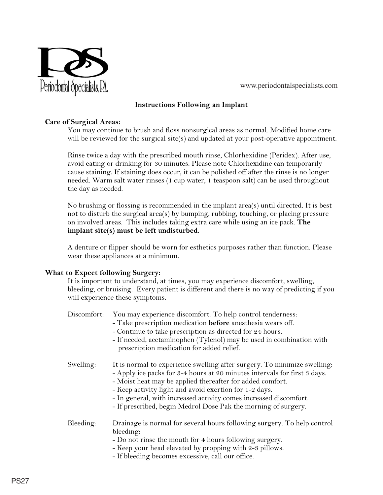

www.periodontalspecialists.com www.periodontalspecialists.com

# **Instructions Following an Implant**

# **Care of Surgical Areas:**

You may continue to brush and floss nonsurgical areas as normal. Modified home care will be reviewed for the surgical site(s) and updated at your post-operative appointment.

Rinse twice a day with the prescribed mouth rinse, Chlorhexidine (Peridex). After use, avoid eating or drinking for 30 minutes. Please note Chlorhexidine can temporarily cause staining. If staining does occur, it can be polished off after the rinse is no longer needed. Warm salt water rinses (1 cup water, 1 teaspoon salt) can be used throughout the day as needed.

No brushing or flossing is recommended in the implant area(s) until directed. It is best not to disturb the surgical area(s) by bumping, rubbing, touching, or placing pressure on involved areas. This includes taking extra care while using an ice pack. **The implant site(s) must be left undisturbed.** 

A denture or flipper should be worn for esthetics purposes rather than function. Please wear these appliances at a minimum.

## **What to Expect following Surgery:**

It is important to understand, at times, you may experience discomfort, swelling, bleeding, or bruising. Every patient is different and there is no way of predicting if you will experience these symptoms.

| Discomfort: | You may experience discomfort. To help control tenderness:<br>- Take prescription medication before anesthesia wears off.<br>- Continue to take prescription as directed for 24 hours.<br>- If needed, acetaminophen (Tylenol) may be used in combination with<br>prescription medication for added relief.                                                                                                         |
|-------------|---------------------------------------------------------------------------------------------------------------------------------------------------------------------------------------------------------------------------------------------------------------------------------------------------------------------------------------------------------------------------------------------------------------------|
| Swelling:   | It is normal to experience swelling after surgery. To minimize swelling:<br>- Apply ice packs for 3-4 hours at 20 minutes intervals for first 3 days.<br>- Moist heat may be applied thereafter for added comfort.<br>- Keep activity light and avoid exertion for 1-2 days.<br>- In general, with increased activity comes increased discomfort.<br>- If prescribed, begin Medrol Dose Pak the morning of surgery. |
| Bleeding:   | Drainage is normal for several hours following surgery. To help control<br>bleeding:<br>- Do not rinse the mouth for 4 hours following surgery.<br>- Keep your head elevated by propping with 2-3 pillows.<br>- If bleeding becomes excessive, call our office.                                                                                                                                                     |